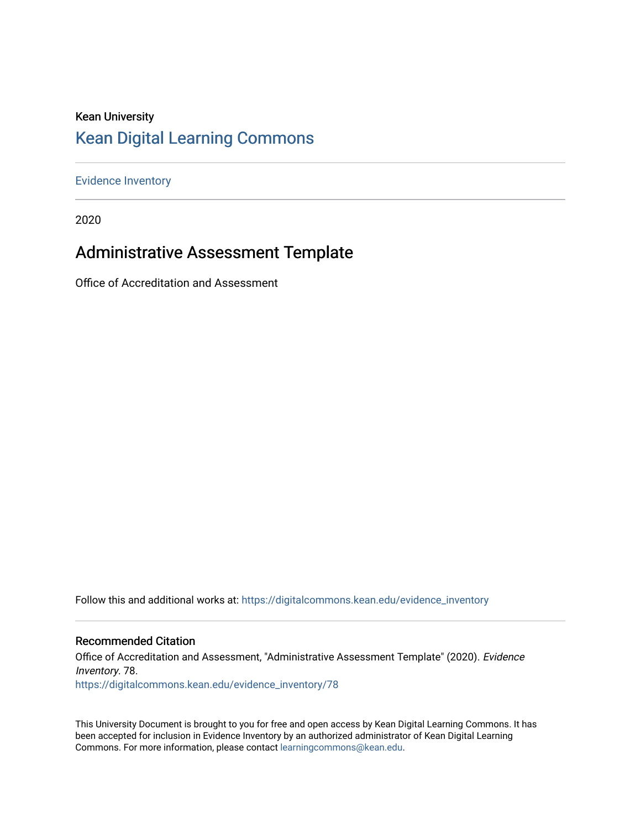## Kean University [Kean Digital Learning Commons](https://digitalcommons.kean.edu/)

[Evidence Inventory](https://digitalcommons.kean.edu/evidence_inventory) 

2020

## Administrative Assessment Template

Office of Accreditation and Assessment

Follow this and additional works at: [https://digitalcommons.kean.edu/evidence\\_inventory](https://digitalcommons.kean.edu/evidence_inventory?utm_source=digitalcommons.kean.edu%2Fevidence_inventory%2F78&utm_medium=PDF&utm_campaign=PDFCoverPages)

#### Recommended Citation

Office of Accreditation and Assessment, "Administrative Assessment Template" (2020). Evidence Inventory. 78. [https://digitalcommons.kean.edu/evidence\\_inventory/78](https://digitalcommons.kean.edu/evidence_inventory/78?utm_source=digitalcommons.kean.edu%2Fevidence_inventory%2F78&utm_medium=PDF&utm_campaign=PDFCoverPages)

This University Document is brought to you for free and open access by Kean Digital Learning Commons. It has been accepted for inclusion in Evidence Inventory by an authorized administrator of Kean Digital Learning Commons. For more information, please contact [learningcommons@kean.edu.](mailto:learningcommons@kean.edu)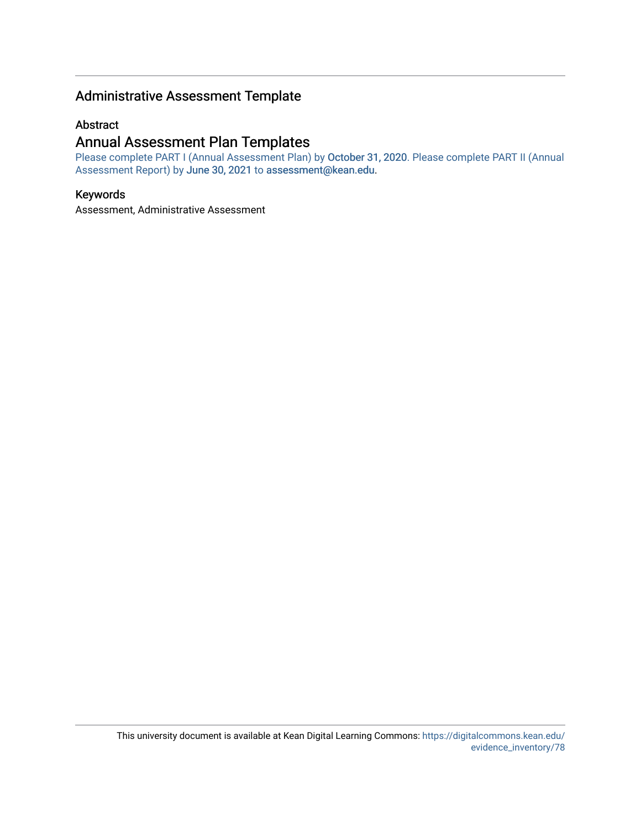### Administrative Assessment Template

#### Abstract

### Annual Assessment Plan Templates

Please complete PART I (Annual Assessment Plan) by October 31, 2020. Please complete PART II (Annual Assessment Report) by June 30, 2021 to [assessment@kean.edu.](mailto:assessment@kean.edu)

#### Keywords

Assessment, Administrative Assessment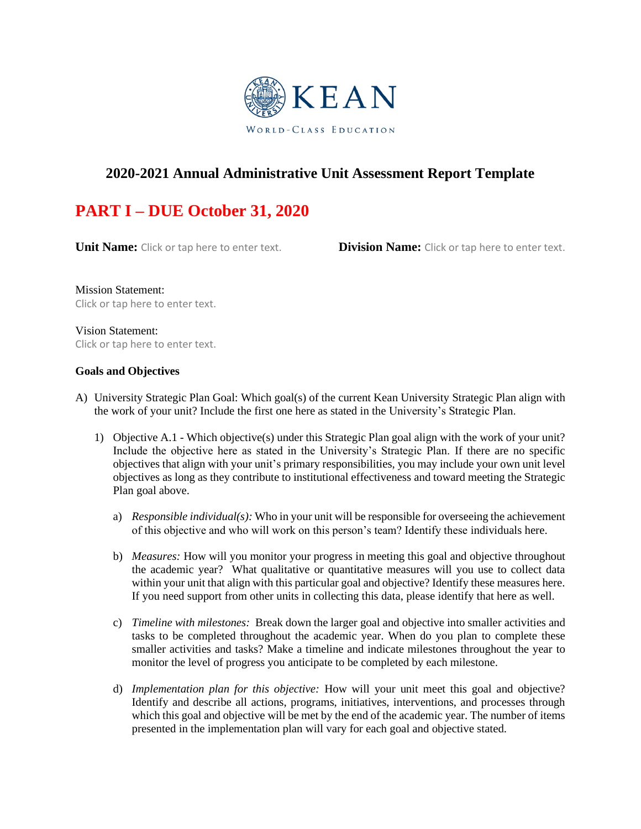

### **2020-2021 Annual Administrative Unit Assessment Report Template**

# **PART I – DUE October 31, 2020**

**Unit Name:** Click or tap here to enter text. **Division Name:** Click or tap here to enter text.

Mission Statement: Click or tap here to enter text.

Vision Statement: Click or tap here to enter text.

#### **Goals and Objectives**

- A) University Strategic Plan Goal: Which goal(s) of the current Kean University Strategic Plan align with the work of your unit? Include the first one here as stated in the University's Strategic Plan.
	- 1) Objective A.1 Which objective(s) under this Strategic Plan goal align with the work of your unit? Include the objective here as stated in the University's Strategic Plan. If there are no specific objectives that align with your unit's primary responsibilities, you may include your own unit level objectives as long as they contribute to institutional effectiveness and toward meeting the Strategic Plan goal above.
		- a) *Responsible individual(s):* Who in your unit will be responsible for overseeing the achievement of this objective and who will work on this person's team? Identify these individuals here.
		- b) *Measures:* How will you monitor your progress in meeting this goal and objective throughout the academic year? What qualitative or quantitative measures will you use to collect data within your unit that align with this particular goal and objective? Identify these measures here. If you need support from other units in collecting this data, please identify that here as well.
		- c) *Timeline with milestones:* Break down the larger goal and objective into smaller activities and tasks to be completed throughout the academic year. When do you plan to complete these smaller activities and tasks? Make a timeline and indicate milestones throughout the year to monitor the level of progress you anticipate to be completed by each milestone.
		- d) *Implementation plan for this objective:* How will your unit meet this goal and objective? Identify and describe all actions, programs, initiatives, interventions, and processes through which this goal and objective will be met by the end of the academic year. The number of items presented in the implementation plan will vary for each goal and objective stated.